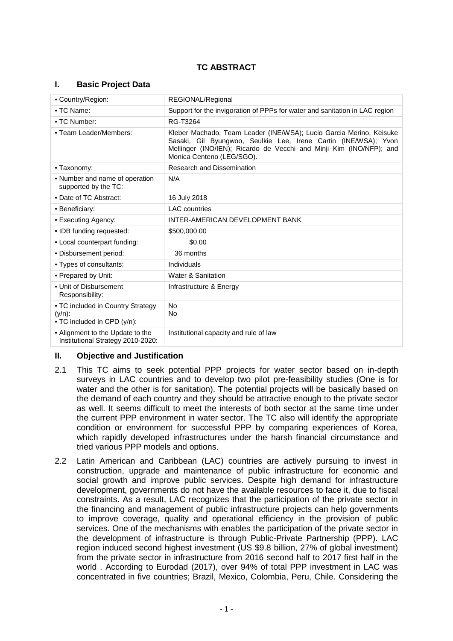# **TC ABSTRACT**

#### **I. Basic Project Data**

| • Country/Region:                                                             | REGIONAL/Regional                                                                                                                                                                                                                          |  |  |
|-------------------------------------------------------------------------------|--------------------------------------------------------------------------------------------------------------------------------------------------------------------------------------------------------------------------------------------|--|--|
| • TC Name:                                                                    | Support for the invigoration of PPPs for water and sanitation in LAC region                                                                                                                                                                |  |  |
| • TC Number:                                                                  | RG-T3264                                                                                                                                                                                                                                   |  |  |
| - Team Leader/Members:                                                        | Kleber Machado, Team Leader (INE/WSA); Lucio Garcia Merino, Keisuke<br>Sasaki, Gil Byungwoo, Seulkie Lee, Irene Cartin (INE/WSA); Yvon<br>Mellinger (INO/IEN); Ricardo de Vecchi and Minji Kim (INO/NFP); and<br>Monica Centeno (LEG/SGO). |  |  |
| • Taxonomy:                                                                   | Research and Dissemination                                                                                                                                                                                                                 |  |  |
| • Number and name of operation<br>supported by the TC:                        | N/A                                                                                                                                                                                                                                        |  |  |
| • Date of TC Abstract:                                                        | 16 July 2018                                                                                                                                                                                                                               |  |  |
| • Beneficiary:                                                                | <b>LAC</b> countries                                                                                                                                                                                                                       |  |  |
| • Executing Agency:                                                           | INTER-AMERICAN DEVELOPMENT BANK                                                                                                                                                                                                            |  |  |
| • IDB funding requested:                                                      | \$500,000.00                                                                                                                                                                                                                               |  |  |
| - Local counterpart funding:                                                  | \$0.00                                                                                                                                                                                                                                     |  |  |
| - Disbursement period:                                                        | 36 months                                                                                                                                                                                                                                  |  |  |
| • Types of consultants:                                                       | Individuals                                                                                                                                                                                                                                |  |  |
| • Prepared by Unit:                                                           | <b>Water &amp; Sanitation</b>                                                                                                                                                                                                              |  |  |
| • Unit of Disbursement<br>Responsibility:                                     | Infrastructure & Energy                                                                                                                                                                                                                    |  |  |
| • TC included in Country Strategy<br>$(y/n)$ :<br>• TC included in CPD (y/n): | N <sub>o</sub><br>No                                                                                                                                                                                                                       |  |  |
| • Alignment to the Update to the<br>Institutional Strategy 2010-2020:         | Institutional capacity and rule of law                                                                                                                                                                                                     |  |  |

## **II. Objective and Justification**

- 2.1 This TC aims to seek potential PPP projects for water sector based on in-depth surveys in LAC countries and to develop two pilot pre-feasibility studies (One is for water and the other is for sanitation). The potential projects will be basically based on the demand of each country and they should be attractive enough to the private sector as well. It seems difficult to meet the interests of both sector at the same time under the current PPP environment in water sector. The TC also will identify the appropriate condition or environment for successful PPP by comparing experiences of Korea, which rapidly developed infrastructures under the harsh financial circumstance and tried various PPP models and options.
- 2.2 Latin American and Caribbean (LAC) countries are actively pursuing to invest in construction, upgrade and maintenance of public infrastructure for economic and social growth and improve public services. Despite high demand for infrastructure development, governments do not have the available resources to face it, due to fiscal constraints. As a result, LAC recognizes that the participation of the private sector in the financing and management of public infrastructure projects can help governments to improve coverage, quality and operational efficiency in the provision of public services. One of the mechanisms with enables the participation of the private sector in the development of infrastructure is through Public-Private Partnership (PPP). LAC region induced second highest investment (US \$9.8 billion, 27% of global investment) from the private sector in infrastructure from 2016 second half to 2017 first half in the world . According to Eurodad (2017), over 94% of total PPP investment in LAC was concentrated in five countries; Brazil, Mexico, Colombia, Peru, Chile. Considering the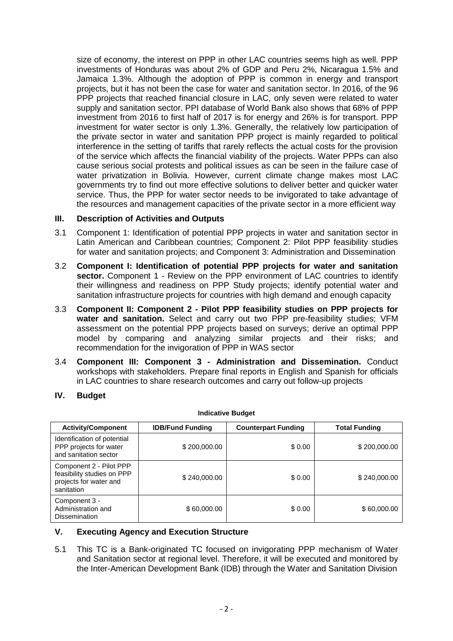size of economy, the interest on PPP in other LAC countries seems high as well. PPP investments of Honduras was about 2% of GDP and Peru 2%, Nicaragua 1.5% and Jamaica 1.3%. Although the adoption of PPP is common in energy and transport projects, but it has not been the case for water and sanitation sector. In 2016, of the 96 PPP projects that reached financial closure in LAC, only seven were related to water supply and sanitation sector. PPI database of World Bank also shows that 68% of PPP investment from 2016 to first half of 2017 is for energy and 26% is for transport. PPP investment for water sector is only 1.3%. Generally, the relatively low participation of the private sector in water and sanitation PPP project is mainly regarded to political interference in the setting of tariffs that rarely reflects the actual costs for the provision of the service which affects the financial viability of the projects. Water PPPs can also cause serious social protests and political issues as can be seen in the failure case of water privatization in Bolivia. However, current climate change makes most LAC governments try to find out more effective solutions to deliver better and quicker water service. Thus, the PPP for water sector needs to be invigorated to take advantage of the resources and management capacities of the private sector in a more efficient way

### **III. Description of Activities and Outputs**

- 3.1 Component 1: Identification of potential PPP projects in water and sanitation sector in Latin American and Caribbean countries; Component 2: Pilot PPP feasibility studies for water and sanitation projects; and Component 3: Administration and Dissemination
- 3.2 **Component I: Identification of potential PPP projects for water and sanitation**  sector. Component 1 - Review on the PPP environment of LAC countries to identify their willingness and readiness on PPP Study projects; identify potential water and sanitation infrastructure projects for countries with high demand and enough capacity
- 3.3 **Component II: Component 2 - Pilot PPP feasibility studies on PPP projects for water and sanitation.** Select and carry out two PPP pre-feasibility studies; VFM assessment on the potential PPP projects based on surveys; derive an optimal PPP model by comparing and analyzing similar projects and their risks; and recommendation for the invigoration of PPP in WAS sector
- 3.4 **Component III: Component 3 - Administration and Dissemination.** Conduct workshops with stakeholders. Prepare final reports in English and Spanish for officials in LAC countries to share research outcomes and carry out follow-up projects

**Indicative Budget**

#### **IV. Budget**

| mulcative Duuyet                                                                              |                         |                            |                      |  |
|-----------------------------------------------------------------------------------------------|-------------------------|----------------------------|----------------------|--|
| <b>Activity/Component</b>                                                                     | <b>IDB/Fund Funding</b> | <b>Counterpart Funding</b> | <b>Total Funding</b> |  |
| Identification of potential<br>PPP projects for water<br>and sanitation sector                | \$200,000.00            | \$0.00                     | \$200,000.00         |  |
| Component 2 - Pilot PPP<br>feasibility studies on PPP<br>projects for water and<br>sanitation | \$240,000.00            | \$0.00                     | \$240,000,00         |  |
| Component 3 -<br>Administration and<br><b>Dissemination</b>                                   | \$60,000.00             | \$0.00                     | \$60,000.00          |  |

## **V. Executing Agency and Execution Structure**

5.1 This TC is a Bank-originated TC focused on invigorating PPP mechanism of Water and Sanitation sector at regional level. Therefore, it will be executed and monitored by the Inter-American Development Bank (IDB) through the Water and Sanitation Division